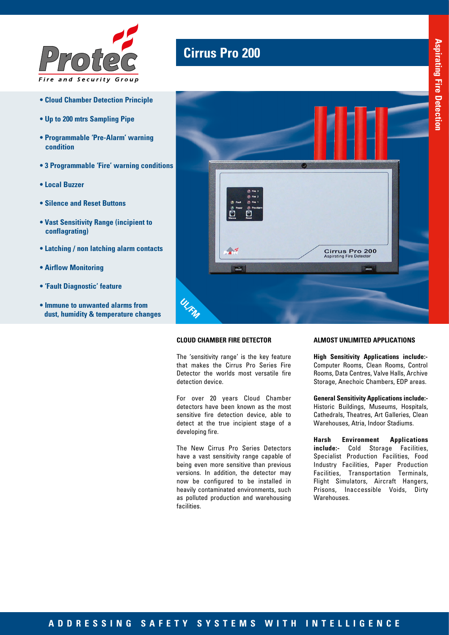

- **Cloud Chamber Detection Principle**
- **Up to 200 mtrs Sampling Pipe**
- **Programmable 'Pre-Alarm' warning condition**
- **3 Programmable 'Fire' warning conditions**
- **Local Buzzer**
- **Silence and Reset Buttons**
- **Vast Sensitivity Range (incipient to conflagrating)**
- **Latching / non latching alarm contacts**
- **Airflow Monitoring**
- **'Fault Diagnostic' feature**
- **Immune to unwanted alarms from dust, humidity & temperature changes**

## **Cirrus Pro 200**



### **CLOUD CHAMBER FIRE DETECTOR**

The 'sensitivity range' is the key feature that makes the Cirrus Pro Series Fire Detector the worlds most versatile fire detection device.

For over 20 years Cloud Chamber detectors have been known as the most sensitive fire detection device, able to detect at the true incipient stage of a developing fire.

The New Cirrus Pro Series Detectors have a vast sensitivity range capable of being even more sensitive than previous versions. In addition, the detector may now be configured to be installed in heavily contaminated environments, such as polluted production and warehousing facilities.

#### **ALMOST UNLIMITED APPLICATIONS**

**High Sensitivity Applications include:-** Computer Rooms, Clean Rooms, Control Rooms, Data Centres, Valve Halls, Archive Storage, Anechoic Chambers, EDP areas.

**General Sensitivity Applications include:-**  Historic Buildings, Museums, Hospitals, Cathedrals, Theatres, Art Galleries, Clean Warehouses, Atria, Indoor Stadiums.

**Harsh Environment Applications include:-** Cold Storage Facilities, Specialist Production Facilities, Food Industry Facilities, Paper Production Facilities, Transportation Terminals, Flight Simulators, Aircraft Hangers, Prisons, Inaccessible Voids, Dirty Warehouses.